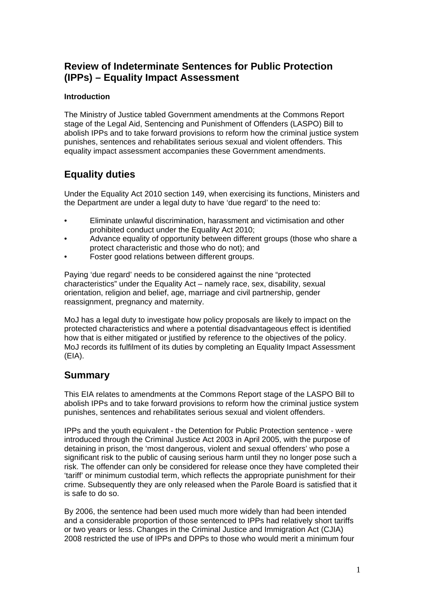# **Review of Indeterminate Sentences for Public Protection (IPPs) – Equality Impact Assessment**

# **Introduction**

The Ministry of Justice tabled Government amendments at the Commons Report stage of the Legal Aid, Sentencing and Punishment of Offenders (LASPO) Bill to abolish IPPs and to take forward provisions to reform how the criminal justice system punishes, sentences and rehabilitates serious sexual and violent offenders. This equality impact assessment accompanies these Government amendments.

# **Equality duties**

Under the Equality Act 2010 section 149, when exercising its functions, Ministers and the Department are under a legal duty to have 'due regard' to the need to:

- Eliminate unlawful discrimination, harassment and victimisation and other prohibited conduct under the Equality Act 2010;
- Advance equality of opportunity between different groups (those who share a protect characteristic and those who do not); and
- Foster good relations between different groups.

Paying 'due regard' needs to be considered against the nine "protected characteristics" under the Equality Act – namely race, sex, disability, sexual orientation, religion and belief, age, marriage and civil partnership, gender reassignment, pregnancy and maternity.

MoJ has a legal duty to investigate how policy proposals are likely to impact on the protected characteristics and where a potential disadvantageous effect is identified how that is either mitigated or justified by reference to the objectives of the policy. MoJ records its fulfilment of its duties by completing an Equality Impact Assessment (EIA).

# **Summary**

This EIA relates to amendments at the Commons Report stage of the LASPO Bill to abolish IPPs and to take forward provisions to reform how the criminal justice system punishes, sentences and rehabilitates serious sexual and violent offenders.

IPPs and the youth equivalent - the Detention for Public Protection sentence - were introduced through the Criminal Justice Act 2003 in April 2005, with the purpose of detaining in prison, the 'most dangerous, violent and sexual offenders' who pose a significant risk to the public of causing serious harm until they no longer pose such a risk. The offender can only be considered for release once they have completed their 'tariff' or minimum custodial term, which reflects the appropriate punishment for their crime. Subsequently they are only released when the Parole Board is satisfied that it is safe to do so.

By 2006, the sentence had been used much more widely than had been intended and a considerable proportion of those sentenced to IPPs had relatively short tariffs or two years or less. Changes in the Criminal Justice and Immigration Act (CJIA) 2008 restricted the use of IPPs and DPPs to those who would merit a minimum four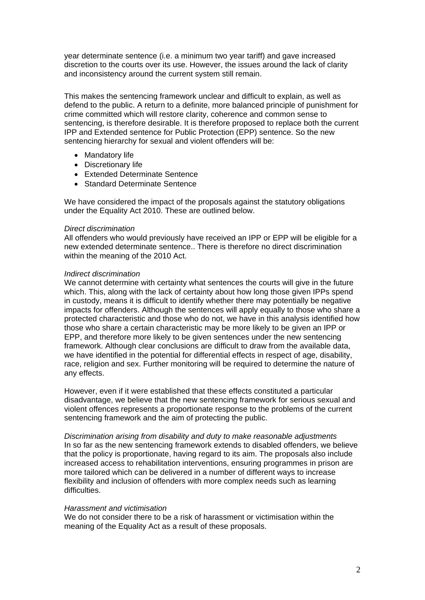year determinate sentence (i.e. a minimum two year tariff) and gave increased discretion to the courts over its use. However, the issues around the lack of clarity and inconsistency around the current system still remain.

This makes the sentencing framework unclear and difficult to explain, as well as defend to the public. A return to a definite, more balanced principle of punishment for crime committed which will restore clarity, coherence and common sense to sentencing, is therefore desirable. It is therefore proposed to replace both the current IPP and Extended sentence for Public Protection (EPP) sentence. So the new sentencing hierarchy for sexual and violent offenders will be:

- Mandatory life
- Discretionary life
- Extended Determinate Sentence
- Standard Determinate Sentence

We have considered the impact of the proposals against the statutory obligations under the Equality Act 2010. These are outlined below.

### *Direct discrimination*

All offenders who would previously have received an IPP or EPP will be eligible for a new extended determinate sentence.. There is therefore no direct discrimination within the meaning of the 2010 Act.

### *Indirect discrimination*

We cannot determine with certainty what sentences the courts will give in the future which. This, along with the lack of certainty about how long those given IPPs spend in custody, means it is difficult to identify whether there may potentially be negative impacts for offenders. Although the sentences will apply equally to those who share a protected characteristic and those who do not, we have in this analysis identified how those who share a certain characteristic may be more likely to be given an IPP or EPP, and therefore more likely to be given sentences under the new sentencing framework. Although clear conclusions are difficult to draw from the available data, we have identified in the potential for differential effects in respect of age, disability, race, religion and sex. Further monitoring will be required to determine the nature of any effects.

However, even if it were established that these effects constituted a particular disadvantage, we believe that the new sentencing framework for serious sexual and violent offences represents a proportionate response to the problems of the current sentencing framework and the aim of protecting the public.

*Discrimination arising from disability and duty to make reasonable adjustments*  In so far as the new sentencing framework extends to disabled offenders, we believe that the policy is proportionate, having regard to its aim. The proposals also include increased access to rehabilitation interventions, ensuring programmes in prison are more tailored which can be delivered in a number of different ways to increase flexibility and inclusion of offenders with more complex needs such as learning difficulties.

# *Harassment and victimisation*

We do not consider there to be a risk of harassment or victimisation within the meaning of the Equality Act as a result of these proposals.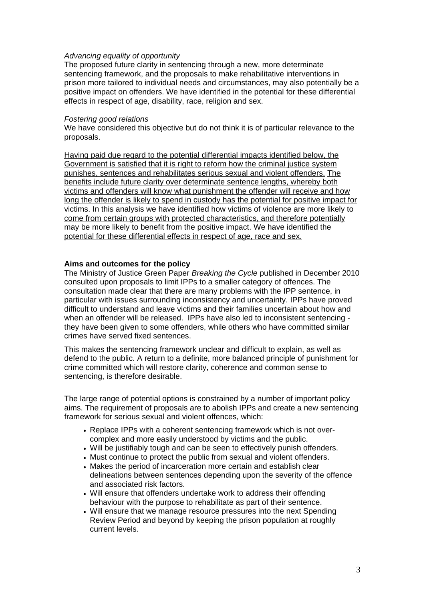# *Advancing equality of opportunity*

The proposed future clarity in sentencing through a new, more determinate sentencing framework, and the proposals to make rehabilitative interventions in prison more tailored to individual needs and circumstances, may also potentially be a positive impact on offenders. We have identified in the potential for these differential effects in respect of age, disability, race, religion and sex.

# *Fostering good relations*

We have considered this objective but do not think it is of particular relevance to the proposals.

Having paid due regard to the potential differential impacts identified below, the Government is satisfied that it is right to reform how the criminal justice system punishes, sentences and rehabilitates serious sexual and violent offenders. The benefits include future clarity over determinate sentence lengths, whereby both victims and offenders will know what punishment the offender will receive and how long the offender is likely to spend in custody has the potential for positive impact for victims. In this analysis we have identified how victims of violence are more likely to come from certain groups with protected characteristics, and therefore potentially may be more likely to benefit from the positive impact. We have identified the potential for these differential effects in respect of age, race and sex.

# **Aims and outcomes for the policy**

The Ministry of Justice Green Paper *Breaking the Cycle* published in December 2010 consulted upon proposals to limit IPPs to a smaller category of offences. The consultation made clear that there are many problems with the IPP sentence, in particular with issues surrounding inconsistency and uncertainty. IPPs have proved difficult to understand and leave victims and their families uncertain about how and when an offender will be released. IPPs have also led to inconsistent sentencing they have been given to some offenders, while others who have committed similar crimes have served fixed sentences.

This makes the sentencing framework unclear and difficult to explain, as well as defend to the public. A return to a definite, more balanced principle of punishment for crime committed which will restore clarity, coherence and common sense to sentencing, is therefore desirable.

The large range of potential options is constrained by a number of important policy aims. The requirement of proposals are to abolish IPPs and create a new sentencing framework for serious sexual and violent offences, which:

- Replace IPPs with a coherent sentencing framework which is not overcomplex and more easily understood by victims and the public.
- Will be justifiably tough and can be seen to effectively punish offenders.
- Must continue to protect the public from sexual and violent offenders.
- Makes the period of incarceration more certain and establish clear delineations between sentences depending upon the severity of the offence and associated risk factors.
- Will ensure that offenders undertake work to address their offending behaviour with the purpose to rehabilitate as part of their sentence.
- Will ensure that we manage resource pressures into the next Spending Review Period and beyond by keeping the prison population at roughly current levels.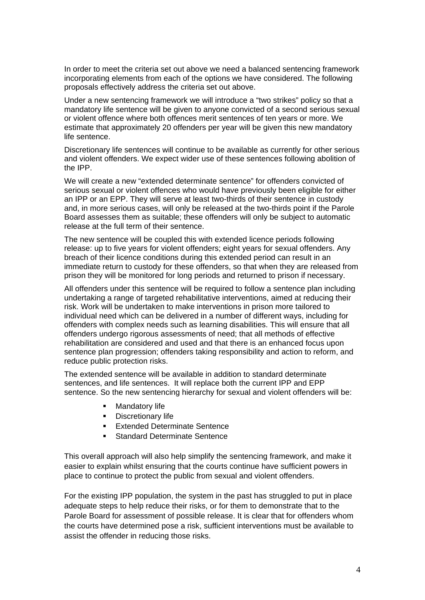In order to meet the criteria set out above we need a balanced sentencing framework incorporating elements from each of the options we have considered. The following proposals effectively address the criteria set out above.

Under a new sentencing framework we will introduce a "two strikes" policy so that a mandatory life sentence will be given to anyone convicted of a second serious sexual or violent offence where both offences merit sentences of ten years or more. We estimate that approximately 20 offenders per year will be given this new mandatory life sentence.

Discretionary life sentences will continue to be available as currently for other serious and violent offenders. We expect wider use of these sentences following abolition of the IPP.

We will create a new "extended determinate sentence" for offenders convicted of serious sexual or violent offences who would have previously been eligible for either an IPP or an EPP. They will serve at least two-thirds of their sentence in custody and, in more serious cases, will only be released at the two-thirds point if the Parole Board assesses them as suitable; these offenders will only be subject to automatic release at the full term of their sentence.

The new sentence will be coupled this with extended licence periods following release: up to five years for violent offenders; eight years for sexual offenders. Any breach of their licence conditions during this extended period can result in an immediate return to custody for these offenders, so that when they are released from prison they will be monitored for long periods and returned to prison if necessary.

All offenders under this sentence will be required to follow a sentence plan including undertaking a range of targeted rehabilitative interventions, aimed at reducing their risk. Work will be undertaken to make interventions in prison more tailored to individual need which can be delivered in a number of different ways, including for offenders with complex needs such as learning disabilities. This will ensure that all offenders undergo rigorous assessments of need; that all methods of effective rehabilitation are considered and used and that there is an enhanced focus upon sentence plan progression; offenders taking responsibility and action to reform, and reduce public protection risks.

The extended sentence will be available in addition to standard determinate sentences, and life sentences. It will replace both the current IPP and EPP sentence. So the new sentencing hierarchy for sexual and violent offenders will be:

- **-** Mandatory life
- **Discretionary life**
- **Extended Determinate Sentence**
- Standard Determinate Sentence

This overall approach will also help simplify the sentencing framework, and make it easier to explain whilst ensuring that the courts continue have sufficient powers in place to continue to protect the public from sexual and violent offenders.

For the existing IPP population, the system in the past has struggled to put in place adequate steps to help reduce their risks, or for them to demonstrate that to the Parole Board for assessment of possible release. It is clear that for offenders whom the courts have determined pose a risk, sufficient interventions must be available to assist the offender in reducing those risks.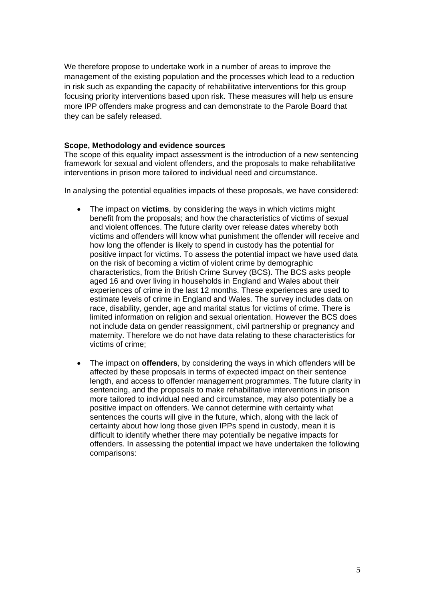We therefore propose to undertake work in a number of areas to improve the management of the existing population and the processes which lead to a reduction in risk such as expanding the capacity of rehabilitative interventions for this group focusing priority interventions based upon risk. These measures will help us ensure more IPP offenders make progress and can demonstrate to the Parole Board that they can be safely released.

# **Scope, Methodology and evidence sources**

The scope of this equality impact assessment is the introduction of a new sentencing framework for sexual and violent offenders, and the proposals to make rehabilitative interventions in prison more tailored to individual need and circumstance.

In analysing the potential equalities impacts of these proposals, we have considered:

- The impact on **victims**, by considering the ways in which victims might benefit from the proposals; and how the characteristics of victims of sexual and violent offences. The future clarity over release dates whereby both victims and offenders will know what punishment the offender will receive and how long the offender is likely to spend in custody has the potential for positive impact for victims. To assess the potential impact we have used data on the risk of becoming a victim of violent crime by demographic characteristics, from the British Crime Survey (BCS). The BCS asks people aged 16 and over living in households in England and Wales about their experiences of crime in the last 12 months. These experiences are used to estimate levels of crime in England and Wales. The survey includes data on race, disability, gender, age and marital status for victims of crime. There is limited information on religion and sexual orientation. However the BCS does not include data on gender reassignment, civil partnership or pregnancy and maternity. Therefore we do not have data relating to these characteristics for victims of crime;
- The impact on **offenders**, by considering the ways in which offenders will be affected by these proposals in terms of expected impact on their sentence length, and access to offender management programmes. The future clarity in sentencing, and the proposals to make rehabilitative interventions in prison more tailored to individual need and circumstance, may also potentially be a positive impact on offenders. We cannot determine with certainty what sentences the courts will give in the future, which, along with the lack of certainty about how long those given IPPs spend in custody, mean it is difficult to identify whether there may potentially be negative impacts for offenders. In assessing the potential impact we have undertaken the following comparisons: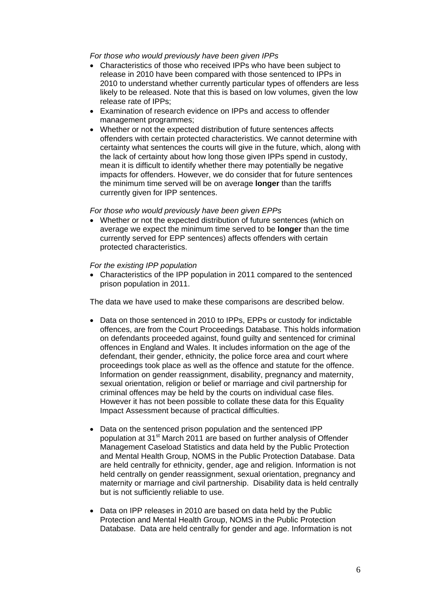*For those who would previously have been given IPPs* 

- Characteristics of those who received IPPs who have been subject to release in 2010 have been compared with those sentenced to IPPs in 2010 to understand whether currently particular types of offenders are less likely to be released. Note that this is based on low volumes, given the low release rate of IPPs;
- Examination of research evidence on IPPs and access to offender management programmes;
- Whether or not the expected distribution of future sentences affects offenders with certain protected characteristics. We cannot determine with certainty what sentences the courts will give in the future, which, along with the lack of certainty about how long those given IPPs spend in custody, mean it is difficult to identify whether there may potentially be negative impacts for offenders. However, we do consider that for future sentences the minimum time served will be on average **longer** than the tariffs currently given for IPP sentences.

# *For those who would previously have been given EPPs*

 Whether or not the expected distribution of future sentences (which on average we expect the minimum time served to be **longer** than the time currently served for EPP sentences) affects offenders with certain protected characteristics.

### *For the existing IPP population*

 Characteristics of the IPP population in 2011 compared to the sentenced prison population in 2011.

The data we have used to make these comparisons are described below.

- Data on those sentenced in 2010 to IPPs, EPPs or custody for indictable offences, are from the Court Proceedings Database. This holds information on defendants proceeded against, found guilty and sentenced for criminal offences in England and Wales. It includes information on the age of the defendant, their gender, ethnicity, the police force area and court where proceedings took place as well as the offence and statute for the offence. Information on gender reassignment, disability, pregnancy and maternity, sexual orientation, religion or belief or marriage and civil partnership for criminal offences may be held by the courts on individual case files. However it has not been possible to collate these data for this Equality Impact Assessment because of practical difficulties.
- Data on the sentenced prison population and the sentenced IPP population at 31<sup>st</sup> March 2011 are based on further analysis of Offender Management Caseload Statistics and data held by the Public Protection and Mental Health Group, NOMS in the Public Protection Database. Data are held centrally for ethnicity, gender, age and religion. Information is not held centrally on gender reassignment, sexual orientation, pregnancy and maternity or marriage and civil partnership. Disability data is held centrally but is not sufficiently reliable to use.
- Data on IPP releases in 2010 are based on data held by the Public Protection and Mental Health Group, NOMS in the Public Protection Database. Data are held centrally for gender and age. Information is not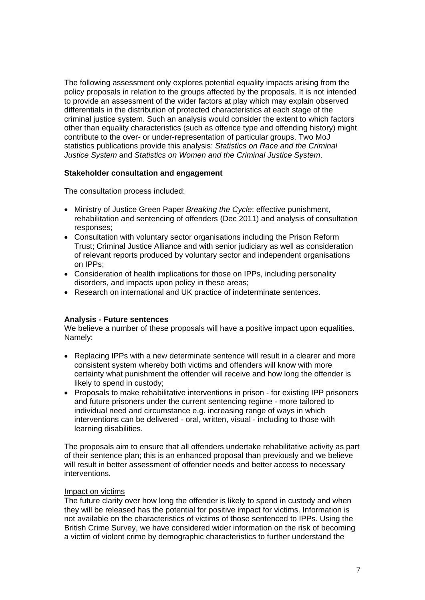The following assessment only explores potential equality impacts arising from the policy proposals in relation to the groups affected by the proposals. It is not intended to provide an assessment of the wider factors at play which may explain observed differentials in the distribution of protected characteristics at each stage of the criminal justice system. Such an analysis would consider the extent to which factors other than equality characteristics (such as offence type and offending history) might contribute to the over- or under-representation of particular groups. Two MoJ statistics publications provide this analysis: *Statistics on Race and the Criminal Justice System* and *Statistics on Women and the Criminal Justice System*.

# **Stakeholder consultation and engagement**

The consultation process included:

- Ministry of Justice Green Paper *Breaking the Cycle*: effective punishment, rehabilitation and sentencing of offenders (Dec 2011) and analysis of consultation responses;
- Consultation with voluntary sector organisations including the Prison Reform Trust; Criminal Justice Alliance and with senior judiciary as well as consideration of relevant reports produced by voluntary sector and independent organisations on IPPs;
- Consideration of health implications for those on IPPs, including personality disorders, and impacts upon policy in these areas;
- Research on international and UK practice of indeterminate sentences.

# **Analysis - Future sentences**

We believe a number of these proposals will have a positive impact upon equalities. Namely:

- Replacing IPPs with a new determinate sentence will result in a clearer and more consistent system whereby both victims and offenders will know with more certainty what punishment the offender will receive and how long the offender is likely to spend in custody;
- Proposals to make rehabilitative interventions in prison for existing IPP prisoners and future prisoners under the current sentencing regime - more tailored to individual need and circumstance e.g. increasing range of ways in which interventions can be delivered - oral, written, visual - including to those with learning disabilities.

The proposals aim to ensure that all offenders undertake rehabilitative activity as part of their sentence plan; this is an enhanced proposal than previously and we believe will result in better assessment of offender needs and better access to necessary interventions.

# Impact on victims

The future clarity over how long the offender is likely to spend in custody and when they will be released has the potential for positive impact for victims. Information is not available on the characteristics of victims of those sentenced to IPPs. Using the British Crime Survey, we have considered wider information on the risk of becoming a victim of violent crime by demographic characteristics to further understand the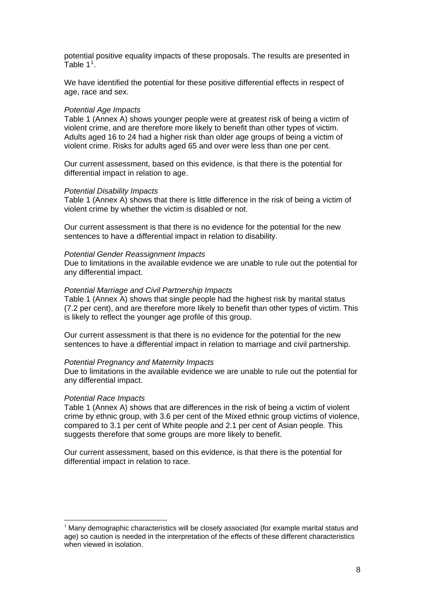potential positive equality impacts of these proposals. The results are presented in Table  $1<sup>1</sup>$  $1<sup>1</sup>$ .

We have identified the potential for these positive differential effects in respect of age, race and sex.

### *Potential Age Impacts*

Table 1 (Annex A) shows younger people were at greatest risk of being a victim of violent crime, and are therefore more likely to benefit than other types of victim. Adults aged 16 to 24 had a higher risk than older age groups of being a victim of violent crime. Risks for adults aged 65 and over were less than one per cent.

Our current assessment, based on this evidence, is that there is the potential for differential impact in relation to age.

#### *Potential Disability Impacts*

Table 1 (Annex A) shows that there is little difference in the risk of being a victim of violent crime by whether the victim is disabled or not.

Our current assessment is that there is no evidence for the potential for the new sentences to have a differential impact in relation to disability.

#### *Potential Gender Reassignment Impacts*

Due to limitations in the available evidence we are unable to rule out the potential for any differential impact.

#### *Potential Marriage and Civil Partnership Impacts*

Table 1 (Annex A) shows that single people had the highest risk by marital status (7.2 per cent), and are therefore more likely to benefit than other types of victim. This is likely to reflect the younger age profile of this group.

Our current assessment is that there is no evidence for the potential for the new sentences to have a differential impact in relation to marriage and civil partnership.

#### *Potential Pregnancy and Maternity Impacts*

Due to limitations in the available evidence we are unable to rule out the potential for any differential impact.

#### *Potential Race Impacts*

1

Table 1 (Annex A) shows that are differences in the risk of being a victim of violent crime by ethnic group, with 3.6 per cent of the Mixed ethnic group victims of violence, compared to 3.1 per cent of White people and 2.1 per cent of Asian people. This suggests therefore that some groups are more likely to benefit.

Our current assessment, based on this evidence, is that there is the potential for differential impact in relation to race.

<span id="page-7-0"></span> $1$  Many demographic characteristics will be closely associated (for example marital status and age) so caution is needed in the interpretation of the effects of these different characteristics when viewed in isolation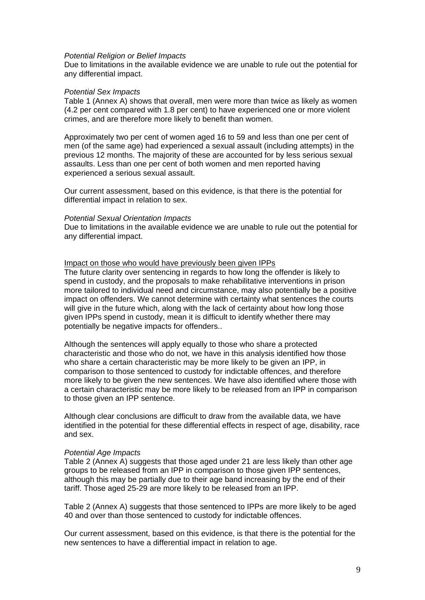#### *Potential Religion or Belief Impacts*

Due to limitations in the available evidence we are unable to rule out the potential for any differential impact.

# *Potential Sex Impacts*

Table 1 (Annex A) shows that overall, men were more than twice as likely as women (4.2 per cent compared with 1.8 per cent) to have experienced one or more violent crimes, and are therefore more likely to benefit than women.

Approximately two per cent of women aged 16 to 59 and less than one per cent of men (of the same age) had experienced a sexual assault (including attempts) in the previous 12 months. The majority of these are accounted for by less serious sexual assaults. Less than one per cent of both women and men reported having experienced a serious sexual assault.

Our current assessment, based on this evidence, is that there is the potential for differential impact in relation to sex.

### *Potential Sexual Orientation Impacts*

Due to limitations in the available evidence we are unable to rule out the potential for any differential impact.

# Impact on those who would have previously been given IPPs

The future clarity over sentencing in regards to how long the offender is likely to spend in custody, and the proposals to make rehabilitative interventions in prison more tailored to individual need and circumstance, may also potentially be a positive impact on offenders. We cannot determine with certainty what sentences the courts will give in the future which, along with the lack of certainty about how long those given IPPs spend in custody, mean it is difficult to identify whether there may potentially be negative impacts for offenders..

Although the sentences will apply equally to those who share a protected characteristic and those who do not, we have in this analysis identified how those who share a certain characteristic may be more likely to be given an IPP, in comparison to those sentenced to custody for indictable offences, and therefore more likely to be given the new sentences. We have also identified where those with a certain characteristic may be more likely to be released from an IPP in comparison to those given an IPP sentence.

Although clear conclusions are difficult to draw from the available data, we have identified in the potential for these differential effects in respect of age, disability, race and sex.

# *Potential Age Impacts*

Table 2 (Annex A) suggests that those aged under 21 are less likely than other age groups to be released from an IPP in comparison to those given IPP sentences, although this may be partially due to their age band increasing by the end of their tariff. Those aged 25-29 are more likely to be released from an IPP.

Table 2 (Annex A) suggests that those sentenced to IPPs are more likely to be aged 40 and over than those sentenced to custody for indictable offences.

Our current assessment, based on this evidence, is that there is the potential for the new sentences to have a differential impact in relation to age.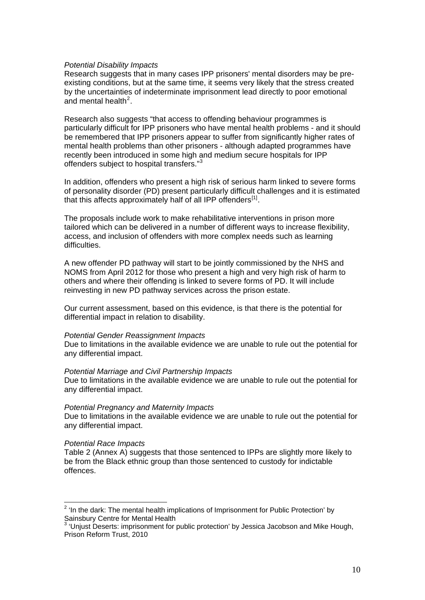### *Potential Disability Impacts*

Research suggests that in many cases IPP prisoners' mental disorders may be preexisting conditions, but at the same time, it seems very likely that the stress created by the uncertainties of indeterminate imprisonment lead directly to poor emotional and mental health $2$ .

Research also suggests "that access to offending behaviour programmes is particularly difficult for IPP prisoners who have mental health problems - and it should be remembered that IPP prisoners appear to suffer from significantly higher rates of mental health problems than other prisoners - although adapted programmes have recently been introduced in some high and medium secure hospitals for IPP offenders subject to hospital transfers."[3](#page-9-1)

In addition, offenders who present a high risk of serious harm linked to severe forms of personality disorder (PD) present particularly difficult challenges and it is estimated that this affects approximately half of all IPP offenders $[1]$ .

The proposals include work to make rehabilitative interventions in prison more tailored which can be delivered in a number of different ways to increase flexibility, access, and inclusion of offenders with more complex needs such as learning difficulties.

A new offender PD pathway will start to be jointly commissioned by the NHS and NOMS from April 2012 for those who present a high and very high risk of harm to others and where their offending is linked to severe forms of PD. It will include reinvesting in new PD pathway services across the prison estate.

Our current assessment, based on this evidence, is that there is the potential for differential impact in relation to disability.

#### *Potential Gender Reassignment Impacts*

Due to limitations in the available evidence we are unable to rule out the potential for any differential impact.

#### *Potential Marriage and Civil Partnership Impacts*

Due to limitations in the available evidence we are unable to rule out the potential for any differential impact.

#### *Potential Pregnancy and Maternity Impacts*

Due to limitations in the available evidence we are unable to rule out the potential for any differential impact.

#### *Potential Race Impacts*

Table 2 (Annex A) suggests that those sentenced to IPPs are slightly more likely to be from the Black ethnic group than those sentenced to custody for indictable offences.

<span id="page-9-0"></span><sup>&</sup>lt;u>.</u> <sup>2</sup> 'In the dark: The mental health implications of Imprisonment for Public Protection' by Sainsbury Centre for Mental Health<br><sup>3 (Liniust Deserte: imprisement for )</sub></sup>

<span id="page-9-2"></span><span id="page-9-1"></span> <sup>&#</sup>x27;Unjust Deserts: imprisonment for public protection' by Jessica Jacobson and Mike Hough, Prison Reform Trust, 2010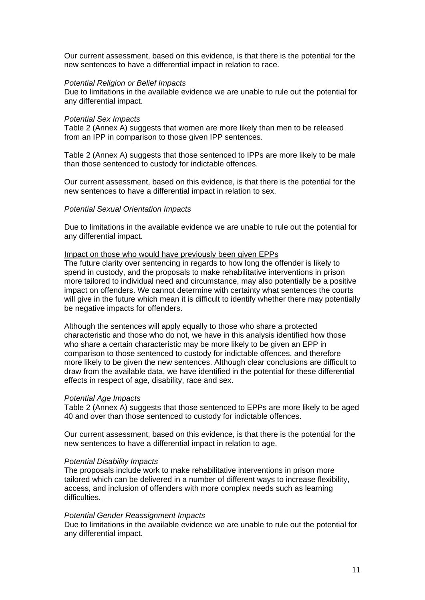Our current assessment, based on this evidence, is that there is the potential for the new sentences to have a differential impact in relation to race.

### *Potential Religion or Belief Impacts*

Due to limitations in the available evidence we are unable to rule out the potential for any differential impact.

### *Potential Sex Impacts*

Table 2 (Annex A) suggests that women are more likely than men to be released from an IPP in comparison to those given IPP sentences.

Table 2 (Annex A) suggests that those sentenced to IPPs are more likely to be male than those sentenced to custody for indictable offences.

Our current assessment, based on this evidence, is that there is the potential for the new sentences to have a differential impact in relation to sex.

#### *Potential Sexual Orientation Impacts*

Due to limitations in the available evidence we are unable to rule out the potential for any differential impact.

### Impact on those who would have previously been given EPPs

The future clarity over sentencing in regards to how long the offender is likely to spend in custody, and the proposals to make rehabilitative interventions in prison more tailored to individual need and circumstance, may also potentially be a positive impact on offenders. We cannot determine with certainty what sentences the courts will give in the future which mean it is difficult to identify whether there may potentially be negative impacts for offenders.

Although the sentences will apply equally to those who share a protected characteristic and those who do not, we have in this analysis identified how those who share a certain characteristic may be more likely to be given an EPP in comparison to those sentenced to custody for indictable offences, and therefore more likely to be given the new sentences. Although clear conclusions are difficult to draw from the available data, we have identified in the potential for these differential effects in respect of age, disability, race and sex.

#### *Potential Age Impacts*

Table 2 (Annex A) suggests that those sentenced to EPPs are more likely to be aged 40 and over than those sentenced to custody for indictable offences.

Our current assessment, based on this evidence, is that there is the potential for the new sentences to have a differential impact in relation to age.

#### *Potential Disability Impacts*

The proposals include work to make rehabilitative interventions in prison more tailored which can be delivered in a number of different ways to increase flexibility, access, and inclusion of offenders with more complex needs such as learning difficulties.

#### *Potential Gender Reassignment Impacts*

Due to limitations in the available evidence we are unable to rule out the potential for any differential impact.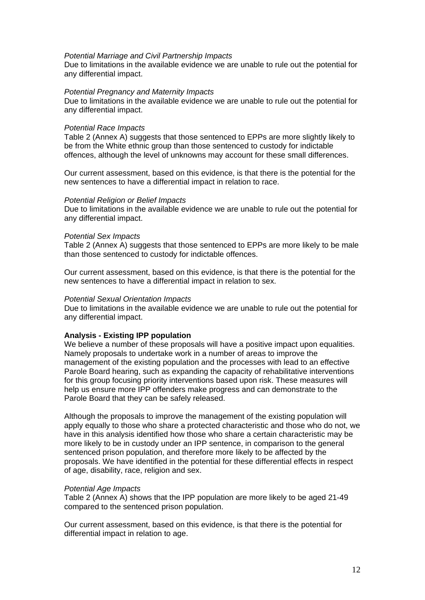#### *Potential Marriage and Civil Partnership Impacts*

Due to limitations in the available evidence we are unable to rule out the potential for any differential impact.

# *Potential Pregnancy and Maternity Impacts*

Due to limitations in the available evidence we are unable to rule out the potential for any differential impact.

### *Potential Race Impacts*

Table 2 (Annex A) suggests that those sentenced to EPPs are more slightly likely to be from the White ethnic group than those sentenced to custody for indictable offences, although the level of unknowns may account for these small differences.

Our current assessment, based on this evidence, is that there is the potential for the new sentences to have a differential impact in relation to race.

### *Potential Religion or Belief Impacts*

Due to limitations in the available evidence we are unable to rule out the potential for any differential impact.

### *Potential Sex Impacts*

Table 2 (Annex A) suggests that those sentenced to EPPs are more likely to be male than those sentenced to custody for indictable offences.

Our current assessment, based on this evidence, is that there is the potential for the new sentences to have a differential impact in relation to sex.

### *Potential Sexual Orientation Impacts*

Due to limitations in the available evidence we are unable to rule out the potential for any differential impact.

# **Analysis - Existing IPP population**

We believe a number of these proposals will have a positive impact upon equalities. Namely proposals to undertake work in a number of areas to improve the management of the existing population and the processes with lead to an effective Parole Board hearing, such as expanding the capacity of rehabilitative interventions for this group focusing priority interventions based upon risk. These measures will help us ensure more IPP offenders make progress and can demonstrate to the Parole Board that they can be safely released.

Although the proposals to improve the management of the existing population will apply equally to those who share a protected characteristic and those who do not, we have in this analysis identified how those who share a certain characteristic may be more likely to be in custody under an IPP sentence, in comparison to the general sentenced prison population, and therefore more likely to be affected by the proposals. We have identified in the potential for these differential effects in respect of age, disability, race, religion and sex.

#### *Potential Age Impacts*

Table 2 (Annex A) shows that the IPP population are more likely to be aged 21-49 compared to the sentenced prison population.

Our current assessment, based on this evidence, is that there is the potential for differential impact in relation to age.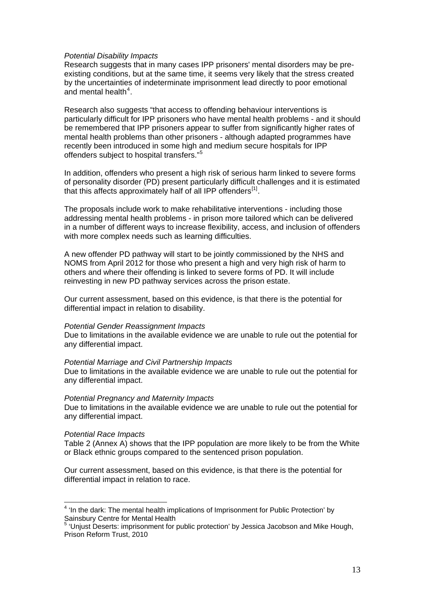#### *Potential Disability Impacts*

Research suggests that in many cases IPP prisoners' mental disorders may be preexisting conditions, but at the same time, it seems very likely that the stress created by the uncertainties of indeterminate imprisonment lead directly to poor emotional and mental health $4$ .

Research also suggests "that access to offending behaviour interventions is particularly difficult for IPP prisoners who have mental health problems - and it should be remembered that IPP prisoners appear to suffer from significantly higher rates of mental health problems than other prisoners - although adapted programmes have recently been introduced in some high and medium secure hospitals for IPP offenders subject to hospital transfers."<sup>[5](#page-12-1)</sup>

In addition, offenders who present a high risk of serious harm linked to severe forms of personality disorder (PD) present particularly difficult challenges and it is estimated that this affects approximately half of all IPP offenders $[1]$ .

The proposals include work to make rehabilitative interventions - including those addressing mental health problems - in prison more tailored which can be delivered in a number of different ways to increase flexibility, access, and inclusion of offenders with more complex needs such as learning difficulties.

A new offender PD pathway will start to be jointly commissioned by the NHS and NOMS from April 2012 for those who present a high and very high risk of harm to others and where their offending is linked to severe forms of PD. It will include reinvesting in new PD pathway services across the prison estate.

Our current assessment, based on this evidence, is that there is the potential for differential impact in relation to disability.

# *Potential Gender Reassignment Impacts*

Due to limitations in the available evidence we are unable to rule out the potential for any differential impact.

# *Potential Marriage and Civil Partnership Impacts*

Due to limitations in the available evidence we are unable to rule out the potential for any differential impact.

#### *Potential Pregnancy and Maternity Impacts*

Due to limitations in the available evidence we are unable to rule out the potential for any differential impact.

# *Potential Race Impacts*

Table 2 (Annex A) shows that the IPP population are more likely to be from the White or Black ethnic groups compared to the sentenced prison population.

Our current assessment, based on this evidence, is that there is the potential for differential impact in relation to race.

<span id="page-12-0"></span><sup>&</sup>lt;u>.</u> <sup>4</sup> 'In the dark: The mental health implications of Imprisonment for Public Protection' by Sainsbury Centre for Mental Health<br><sup>5</sup> (Lhiust Deserte: imprisement for )

<span id="page-12-2"></span><span id="page-12-1"></span> <sup>&#</sup>x27;Unjust Deserts: imprisonment for public protection' by Jessica Jacobson and Mike Hough, Prison Reform Trust, 2010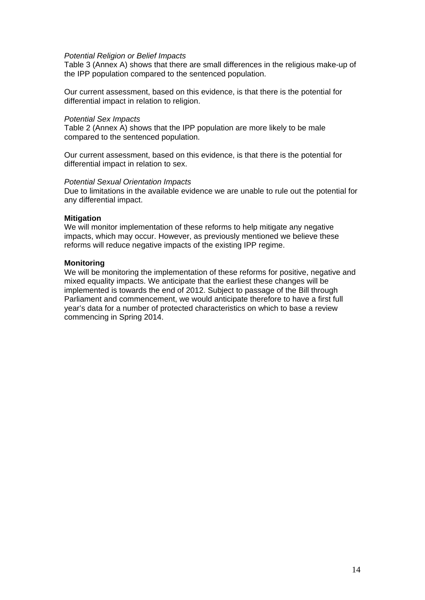### *Potential Religion or Belief Impacts*

Table 3 (Annex A) shows that there are small differences in the religious make-up of the IPP population compared to the sentenced population.

Our current assessment, based on this evidence, is that there is the potential for differential impact in relation to religion.

### *Potential Sex Impacts*

Table 2 (Annex A) shows that the IPP population are more likely to be male compared to the sentenced population.

Our current assessment, based on this evidence, is that there is the potential for differential impact in relation to sex.

#### *Potential Sexual Orientation Impacts*

Due to limitations in the available evidence we are unable to rule out the potential for any differential impact.

### **Mitigation**

We will monitor implementation of these reforms to help mitigate any negative impacts, which may occur. However, as previously mentioned we believe these reforms will reduce negative impacts of the existing IPP regime.

# **Monitoring**

We will be monitoring the implementation of these reforms for positive, negative and mixed equality impacts. We anticipate that the earliest these changes will be implemented is towards the end of 2012. Subject to passage of the Bill through Parliament and commencement, we would anticipate therefore to have a first full year's data for a number of protected characteristics on which to base a review commencing in Spring 2014.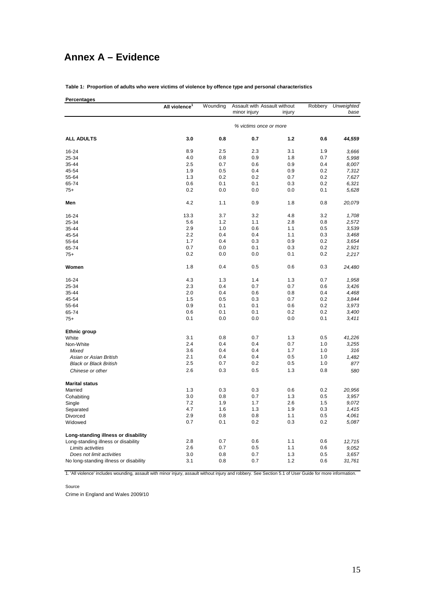# **Annex A – Evidence**

**Table 1: Proportion of adults who were victims of violence by offence type and personal characteristics**

| Percentages |  |
|-------------|--|

|                                        | All violence <sup>1</sup> | Wounding               | Assault with Assault without |        | Robbery<br>Unweighted |        |
|----------------------------------------|---------------------------|------------------------|------------------------------|--------|-----------------------|--------|
|                                        |                           |                        | minor injury                 | injury |                       | base   |
|                                        |                           | % victims once or more |                              |        |                       |        |
| <b>ALL ADULTS</b>                      | 3.0                       | 0.8                    | 0.7                          | 1.2    | 0.6                   | 44,559 |
| 16-24                                  | 8.9                       | 2.5                    | 2.3                          | 3.1    | 1.9                   | 3,666  |
| 25-34                                  | 4.0                       | 0.8                    | 0.9                          | 1.8    | 0.7                   | 5,998  |
| 35-44                                  | 2.5                       | 0.7                    | 0.6                          | 0.9    | 0.4                   | 8,007  |
| 45-54                                  | 1.9                       | 0.5                    | 0.4                          | 0.9    | 0.2                   | 7,312  |
| 55-64                                  | 1.3                       | 0.2                    | 0.2                          | 0.7    | 0.2                   | 7,627  |
| 65-74                                  | 0.6                       | 0.1                    | 0.1                          | 0.3    | 0.2                   | 6,321  |
| $75+$                                  | 0.2                       | 0.0                    | 0.0                          | 0.0    | 0.1                   | 5,628  |
| Men                                    | 4.2                       | 1.1                    | 0.9                          | 1.8    | 0.8                   | 20,079 |
| 16-24                                  | 13.3                      | 3.7                    | 3.2                          | 4.8    | 3.2                   | 1,708  |
| 25-34                                  | 5.6                       | 1.2                    | 1.1                          | 2.8    | 0.8                   | 2,572  |
| 35-44                                  | 2.9                       | 1.0                    | 0.6                          | 1.1    | 0.5                   | 3,539  |
| 45-54                                  | 2.2                       | 0.4                    | 0.4                          | 1.1    | 0.3                   | 3,468  |
| 55-64                                  | 1.7                       | 0.4                    | 0.3                          | 0.9    | 0.2                   | 3,654  |
| 65-74                                  | 0.7                       | 0.0                    | 0.1                          | 0.3    | 0.2                   | 2,921  |
| $75+$                                  | 0.2                       | 0.0                    | 0.0                          | 0.1    | 0.2                   | 2,217  |
| Women                                  | 1.8                       | 0.4                    | 0.5                          | 0.6    | 0.3                   | 24,480 |
| 16-24                                  | 4.3                       | 1.3                    | 1.4                          | 1.3    | 0.7                   | 1,958  |
| 25-34                                  | 2.3                       | 0.4                    | 0.7                          | 0.7    | 0.6                   | 3,426  |
| 35-44                                  | 2.0                       | 0.4                    | 0.6                          | 0.8    | 0.4                   | 4,468  |
| 45-54                                  | 1.5                       | 0.5                    | 0.3                          | 0.7    | 0.2                   | 3,844  |
| 55-64                                  | 0.9                       | 0.1                    | 0.1                          | 0.6    | 0.2                   | 3,973  |
| 65-74                                  | 0.6                       | 0.1                    | 0.1                          | 0.2    | 0.2                   | 3,400  |
| $75+$                                  | 0.1                       | 0.0                    | 0.0                          | 0.0    | 0.1                   | 3,411  |
| <b>Ethnic group</b>                    |                           |                        |                              |        |                       |        |
| White                                  | 3.1                       | 0.8                    | 0.7                          | 1.3    | 0.5                   | 41,226 |
| Non-White                              | 2.4                       | 0.4                    | 0.4                          | 0.7    | 1.0                   | 3,255  |
| Mixed                                  | 3.6                       | 0.4                    | 0.4                          | 1.7    | 1.0                   | 316    |
| Asian or Asian British                 | 2.1                       | 0.4                    | 0.4                          | 0.5    | 1.0                   | 1,482  |
| <b>Black or Black British</b>          | 2.5                       | 0.7                    | 0.2                          | 0.5    | 1.0                   | 877    |
| Chinese or other                       | 2.6                       | 0.3                    | 0.5                          | 1.3    | 0.8                   | 580    |
| <b>Marital status</b>                  |                           |                        |                              |        |                       |        |
| Married                                | 1.3                       | 0.3                    | 0.3                          | 0.6    | 0.2                   | 20,956 |
| Cohabiting                             | 3.0                       | 0.8                    | 0.7                          | 1.3    | 0.5                   | 3,957  |
| Single                                 | 7.2                       | 1.9                    | 1.7                          | 2.6    | 1.5                   | 9,072  |
| Separated                              | 4.7                       | 1.6                    | 1.3                          | 1.9    | 0.3                   | 1,415  |
| Divorced                               | 2.9                       | 0.8                    | 0.8                          | 1.1    | 0.5                   | 4,061  |
| Widowed                                | 0.7                       | 0.1                    | 0.2                          | 0.3    | 0.2                   | 5,087  |
| Long-standing illness or disability    |                           |                        |                              |        |                       |        |
| Long-standing illness or disability    | 2.8                       | 0.7                    | 0.6                          | 1.1    | 0.6                   | 12,715 |
| Limits activities                      | 2.6                       | 0.7                    | 0.5                          | 1.1    | 0.6                   | 9,052  |
| Does not limit activities              | 3.0                       | 0.8                    | 0.7                          | 1.3    | 0.5                   | 3,657  |
| No long-standing illness or disability | 3.1                       | 0.8                    | 0.7                          | 1.2    | 0.6                   | 31,761 |

1. 'All violence' includes wounding, assault with minor injury, assault without injury and robbery. See Section 5.1 of User Guide for more information.

Source

Crime in England and Wales 2009/10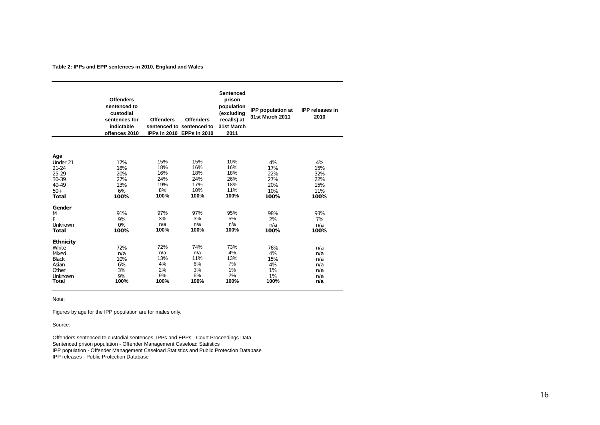**Table 2: IPPs and EPP sentences in 2010, England and Wales**

|                                                                                                                                         | <b>Offenders</b><br>sentenced to<br>custodial<br>sentences for<br>indictable<br>offences 2010 | <b>Offenders</b>                                                          | <b>Offenders</b><br>sentenced to sentenced to<br>IPPs in 2010 EPPs in 2010 | Sentenced<br>prison<br>population<br>(excluding<br>recalls) at<br>31st March<br>2011 | <b>IPP</b> population at<br>31st March 2011                               | <b>IPP</b> releases in<br>2010                                            |
|-----------------------------------------------------------------------------------------------------------------------------------------|-----------------------------------------------------------------------------------------------|---------------------------------------------------------------------------|----------------------------------------------------------------------------|--------------------------------------------------------------------------------------|---------------------------------------------------------------------------|---------------------------------------------------------------------------|
|                                                                                                                                         |                                                                                               |                                                                           |                                                                            |                                                                                      |                                                                           |                                                                           |
|                                                                                                                                         |                                                                                               |                                                                           |                                                                            |                                                                                      |                                                                           |                                                                           |
| Age<br>Under 21<br>$21 - 24$<br>$25 - 29$<br>$30 - 39$<br>40-49<br>$50+$<br><b>Total</b><br>Gender<br>M<br>F<br>Unknown<br><b>Total</b> | 17%<br>18%<br>20%<br>27%<br>13%<br>6%<br>100%<br>91%<br>9%<br>0%<br>100%                      | 15%<br>18%<br>16%<br>24%<br>19%<br>8%<br>100%<br>97%<br>3%<br>n/a<br>100% | 15%<br>16%<br>18%<br>24%<br>17%<br>10%<br>100%<br>97%<br>3%<br>n/a<br>100% | 10%<br>16%<br>18%<br>26%<br>18%<br>11%<br>100%<br>95%<br>5%<br>n/a<br>100%           | 4%<br>17%<br>22%<br>27%<br>20%<br>10%<br>100%<br>98%<br>2%<br>n/a<br>100% | 4%<br>15%<br>32%<br>22%<br>15%<br>11%<br>100%<br>93%<br>7%<br>n/a<br>100% |
|                                                                                                                                         |                                                                                               |                                                                           |                                                                            |                                                                                      |                                                                           |                                                                           |
| <b>Ethnicity</b><br>White<br>Mixed<br><b>Black</b><br>Asian<br>Other<br>Unknown<br>Total                                                | 72%<br>n/a<br>10%<br>6%<br>3%<br>9%<br>100%                                                   | 72%<br>n/a<br>13%<br>4%<br>2%<br>9%<br>100%                               | 74%<br>n/a<br>11%<br>6%<br>3%<br>6%<br>100%                                | 73%<br>4%<br>13%<br>7%<br>1%<br>2%<br>100%                                           | 76%<br>4%<br>15%<br>4%<br>1%<br>1%<br>100%                                | n/a<br>n/a<br>n/a<br>n/a<br>n/a<br>n/a<br>n/a                             |

Note:

Figures by age for the IPP population are for males only.

Source:

Offenders sentenced to custodial sentences, IPPs and EPPs - Court Proceedings Data Sentenced prison population - Offender Management Caseload Statistics IPP population - Offender Management Caseload Statistics and Public Protection Database IPP releases - Public Protection Database